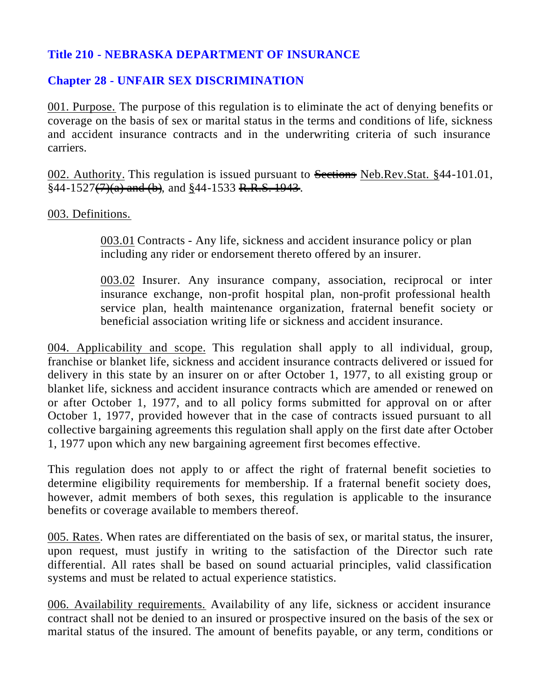## **Title 210 - NEBRASKA DEPARTMENT OF INSURANCE**

## **Chapter 28 - UNFAIR SEX DISCRIMINATION**

001. Purpose. The purpose of this regulation is to eliminate the act of denying benefits or coverage on the basis of sex or marital status in the terms and conditions of life, sickness and accident insurance contracts and in the underwriting criteria of such insurance carriers.

002. Authority. This regulation is issued pursuant to Sections Neb.Rev.Stat. §44-101.01,  $§44-1527(7)(a)$  and (b), and  $§44-1533$  R.R.S. 1943.

003. Definitions.

003.01 Contracts - Any life, sickness and accident insurance policy or plan including any rider or endorsement thereto offered by an insurer.

003.02 Insurer. Any insurance company, association, reciprocal or inter insurance exchange, non-profit hospital plan, non-profit professional health service plan, health maintenance organization, fraternal benefit society or beneficial association writing life or sickness and accident insurance.

004. Applicability and scope. This regulation shall apply to all individual, group, franchise or blanket life, sickness and accident insurance contracts delivered or issued for delivery in this state by an insurer on or after October 1, 1977, to all existing group or blanket life, sickness and accident insurance contracts which are amended or renewed on or after October 1, 1977, and to all policy forms submitted for approval on or after October 1, 1977, provided however that in the case of contracts issued pursuant to all collective bargaining agreements this regulation shall apply on the first date after October 1, 1977 upon which any new bargaining agreement first becomes effective.

This regulation does not apply to or affect the right of fraternal benefit societies to determine eligibility requirements for membership. If a fraternal benefit society does, however, admit members of both sexes, this regulation is applicable to the insurance benefits or coverage available to members thereof.

005. Rates. When rates are differentiated on the basis of sex, or marital status, the insurer, upon request, must justify in writing to the satisfaction of the Director such rate differential. All rates shall be based on sound actuarial principles, valid classification systems and must be related to actual experience statistics.

006. Availability requirements. Availability of any life, sickness or accident insurance contract shall not be denied to an insured or prospective insured on the basis of the sex or marital status of the insured. The amount of benefits payable, or any term, conditions or